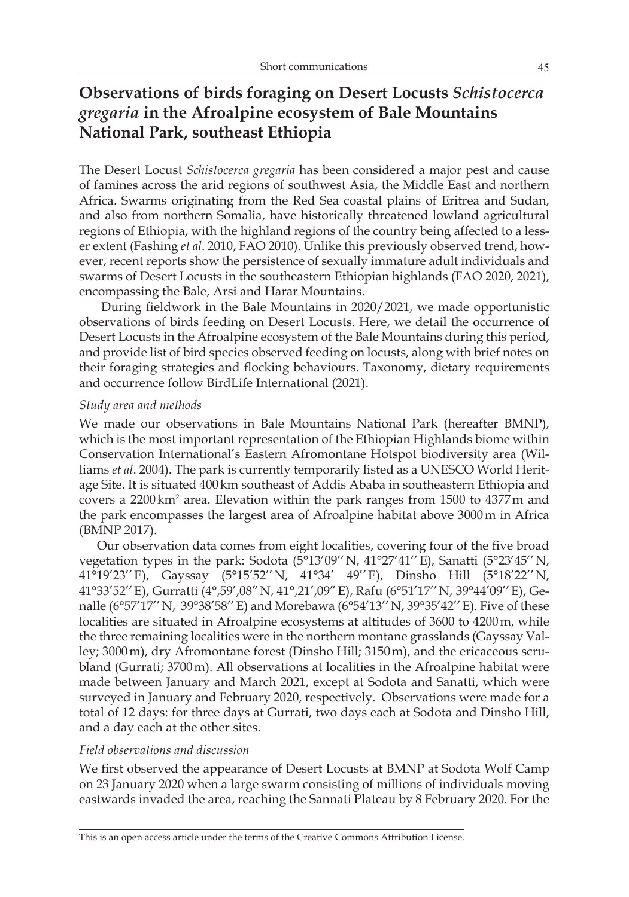# **Observations of birds foraging on Desert Locusts** *Schistocerca gregaria* **in the Afroalpine ecosystem of Bale Mountains National Park, southeast Ethiopia**

The Desert Locust *Schistocerca gregaria* has been considered a major pest and cause of famines across the arid regions of southwest Asia, the Middle East and northern Africa. Swarms originating from the Red Sea coastal plains of Eritrea and Sudan, and also from northern Somalia, have historically threatened lowland agricultural regions of Ethiopia, with the highland regions of the country being affected to a lesser extent (Fashing *et al*. 2010, FAO 2010). Unlike this previously observed trend, however, recent reports show the persistence of sexually immature adult individuals and swarms of Desert Locusts in the southeastern Ethiopian highlands (FAO 2020, 2021), encompassing the Bale, Arsi and Harar Mountains.

 During fieldwork in the Bale Mountains in 2020/2021, we made opportunistic observations of birds feeding on Desert Locusts. Here, we detail the occurrence of Desert Locusts in the Afroalpine ecosystem of the Bale Mountains during this period, and provide list of bird species observed feeding on locusts, along with brief notes on their foraging strategies and flocking behaviours. Taxonomy, dietary requirements and occurrence follow BirdLife International (2021).

#### *Study area and methods*

We made our observations in Bale Mountains National Park (hereafter BMNP), which is the most important representation of the Ethiopian Highlands biome within Conservation International's Eastern Afromontane Hotspot biodiversity area (Williams *et al*. 2004). The park is currently temporarily listed as a UNESCO World Heritage Site. It is situated 400km southeast of Addis Ababa in southeastern Ethiopia and covers a  $2200 \text{ km}^2$  area. Elevation within the park ranges from 1500 to  $4377 \text{ m}$  and the park encompasses the largest area of Afroalpine habitat above 3000m in Africa (BMNP 2017).

Our observation data comes from eight localities, covering four of the five broad vegetation types in the park: Sodota (5°13'09''N, 41°27'41''E), Sanatti (5°23'45''N, 41°19'23''E), Gayssay (5°15'52''N, 41°34' 49''E), Dinsho Hill (5°18'22''N, 41°33'52''E), Gurratti (4°,59',08"N, 41°,21',09"E), Rafu (6°51'17''N, 39°44'09''E), Genalle (6°57'17''N, 39°38'58''E) and Morebawa (6°54'13''N, 39°35'42''E). Five of these localities are situated in Afroalpine ecosystems at altitudes of 3600 to 4200m, while the three remaining localities were in the northern montane grasslands (Gayssay Valley; 3000m), dry Afromontane forest (Dinsho Hill; 3150m), and the ericaceous scrubland (Gurrati; 3700m). All observations at localities in the Afroalpine habitat were made between January and March 2021, except at Sodota and Sanatti, which were surveyed in January and February 2020, respectively. Observations were made for a total of 12 days: for three days at Gurrati, two days each at Sodota and Dinsho Hill, and a day each at the other sites.

## *Field observations and discussion*

We first observed the appearance of Desert Locusts at BMNP at Sodota Wolf Camp on 23 January 2020 when a large swarm consisting of millions of individuals moving eastwards invaded the area, reaching the Sannati Plateau by 8 February 2020. For the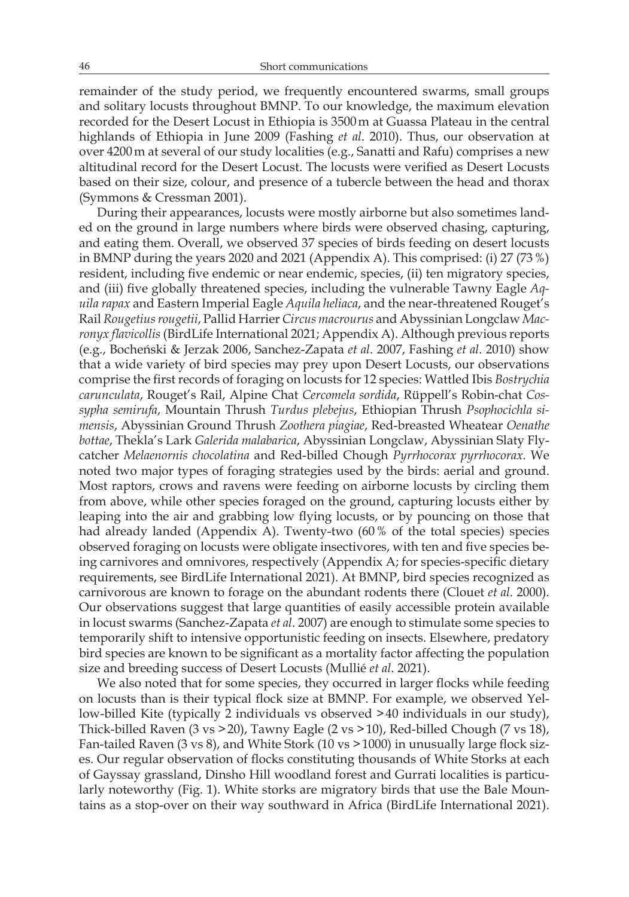remainder of the study period, we frequently encountered swarms, small groups and solitary locusts throughout BMNP. To our knowledge, the maximum elevation recorded for the Desert Locust in Ethiopia is 3500m at Guassa Plateau in the central highlands of Ethiopia in June 2009 (Fashing *et al*. 2010). Thus, our observation at over 4200m at several of our study localities (e.g., Sanatti and Rafu) comprises a new altitudinal record for the Desert Locust. The locusts were verified as Desert Locusts based on their size, colour, and presence of a tubercle between the head and thorax (Symmons & Cressman 2001).

During their appearances, locusts were mostly airborne but also sometimes landed on the ground in large numbers where birds were observed chasing, capturing, and eating them. Overall, we observed 37 species of birds feeding on desert locusts in BMNP during the years 2020 and 2021 (Appendix A). This comprised: (i) 27 (73%) resident, including five endemic or near endemic, species, (ii) ten migratory species, and (iii) five globally threatened species, including the vulnerable Tawny Eagle *Aquila rapax* and Eastern Imperial Eagle *Aquila heliaca*, and the near-threatened Rouget's Rail *Rougetius rougetii*, Pallid Harrier *Circus macrourus* and Abyssinian Longclaw *Macronyx flavicollis* (BirdLife International 2021; Appendix A). Although previous reports (e.g., Bocheński & Jerzak 2006, Sanchez-Zapata *et al*. 2007, Fashing *et al*. 2010) show that a wide variety of bird species may prey upon Desert Locusts, our observations comprise the first records of foraging on locusts for 12 species: Wattled Ibis *Bostrychia carunculata*, Rouget's Rail, Alpine Chat *Cercomela sordida*, Rüppell's Robin-chat *Cossypha semirufa*, Mountain Thrush *Turdus plebejus*, Ethiopian Thrush *Psophocichla simensis*, Abyssinian Ground Thrush *Zoothera piagiae*, Red-breasted Wheatear *Oenathe bottae*, Thekla's Lark *Galerida malabarica*, Abyssinian Longclaw, Abyssinian Slaty Flycatcher *Melaenornis chocolatina* and Red-billed Chough *Pyrrhocorax pyrrhocorax.* We noted two major types of foraging strategies used by the birds: aerial and ground. Most raptors, crows and ravens were feeding on airborne locusts by circling them from above, while other species foraged on the ground, capturing locusts either by leaping into the air and grabbing low flying locusts, or by pouncing on those that had already landed (Appendix A). Twenty-two (60% of the total species) species observed foraging on locusts were obligate insectivores, with ten and five species being carnivores and omnivores, respectively (Appendix A; for species-specific dietary requirements, see BirdLife International 2021). At BMNP, bird species recognized as carnivorous are known to forage on the abundant rodents there (Clouet *et al*. 2000). Our observations suggest that large quantities of easily accessible protein available in locust swarms (Sanchez-Zapata *et al*. 2007) are enough to stimulate some species to temporarily shift to intensive opportunistic feeding on insects. Elsewhere, predatory bird species are known to be significant as a mortality factor affecting the population size and breeding success of Desert Locusts (Mullié *et al*. 2021).

We also noted that for some species, they occurred in larger flocks while feeding on locusts than is their typical flock size at BMNP. For example, we observed Yellow-billed Kite (typically 2 individuals vs observed >40 individuals in our study), Thick-billed Raven (3 vs >20), Tawny Eagle (2 vs >10), Red-billed Chough (7 vs 18), Fan-tailed Raven (3 vs 8), and White Stork (10 vs >1000) in unusually large flock sizes. Our regular observation of flocks constituting thousands of White Storks at each of Gayssay grassland, Dinsho Hill woodland forest and Gurrati localities is particularly noteworthy (Fig. 1). White storks are migratory birds that use the Bale Mountains as a stop-over on their way southward in Africa (BirdLife International 2021).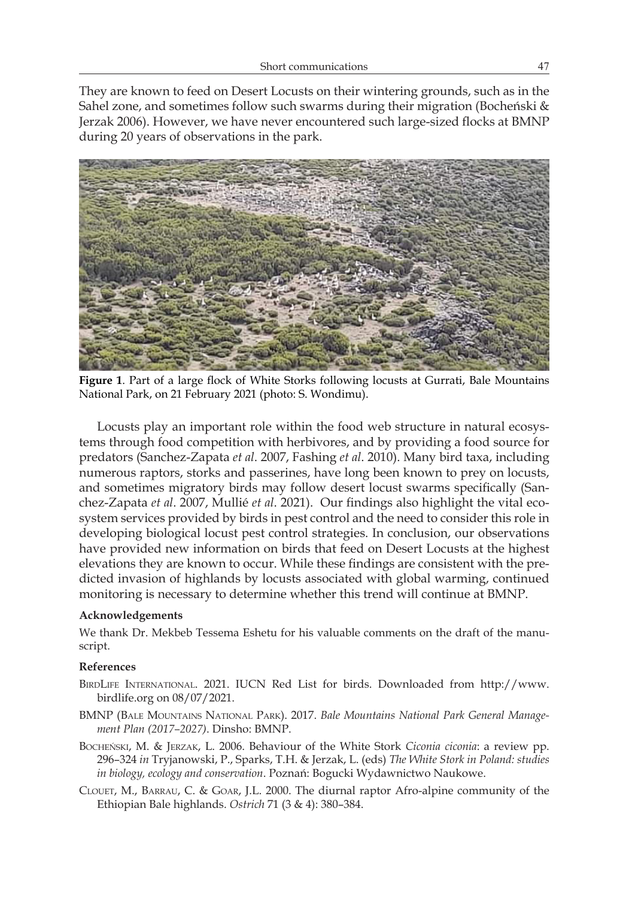They are known to feed on Desert Locusts on their wintering grounds, such as in the Sahel zone, and sometimes follow such swarms during their migration (Bocheński & Jerzak 2006). However, we have never encountered such large-sized flocks at BMNP during 20 years of observations in the park.



**Figure 1**. Part of a large flock of White Storks following locusts at Gurrati, Bale Mountains National Park, on 21 February 2021 (photo: S. Wondimu).

Locusts play an important role within the food web structure in natural ecosystems through food competition with herbivores, and by providing a food source for predators (Sanchez-Zapata *et al*. 2007, Fashing *et al*. 2010). Many bird taxa, including numerous raptors, storks and passerines, have long been known to prey on locusts, and sometimes migratory birds may follow desert locust swarms specifically (Sanchez-Zapata *et al*. 2007, Mullié *et al*. 2021). Our findings also highlight the vital ecosystem services provided by birds in pest control and the need to consider this role in developing biological locust pest control strategies. In conclusion, our observations have provided new information on birds that feed on Desert Locusts at the highest elevations they are known to occur. While these findings are consistent with the predicted invasion of highlands by locusts associated with global warming, continued monitoring is necessary to determine whether this trend will continue at BMNP.

## **Acknowledgements**

We thank Dr. Mekbeb Tessema Eshetu for his valuable comments on the draft of the manuscript.

# **References**

- BirdLife International. 2021. IUCN Red List for birds. Downloaded from http://www. birdlife.org on 08/07/2021.
- BMNP (Bale Mountains National Park). 2017. *Bale Mountains National Park General Management Plan (2017–2027)*. Dinsho: BMNP.
- Bocheński, M. & Jerzak, L. 2006. Behaviour of the White Stork *Ciconia ciconia*: a review pp. 296–324 *in* Tryjanowski, P., Sparks, T.H. & Jerzak, L. (eds) *The White Stork in Poland: studies in biology, ecology and conservation*. Poznań: Bogucki Wydawnictwo Naukowe.
- Clouet, M., Barrau, C. & Goar, J.L. 2000. The diurnal raptor Afro-alpine community of the Ethiopian Bale highlands. *Ostrich* 71 (3 & 4): 380–384.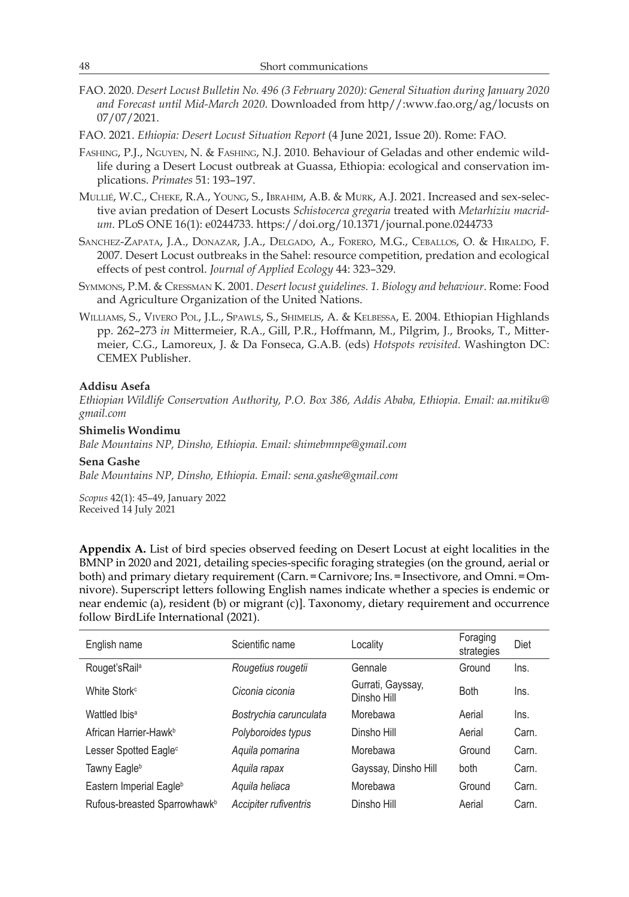- FAO. 2020. *Desert Locust Bulletin No. 496 (3 February 2020): General Situation during January 2020 and Forecast until Mid-March 2020*. Downloaded from http//:www.fao.org/ag/locusts on 07/07/2021.
- FAO. 2021. *Ethiopia: Desert Locust Situation Report* (4 June 2021, Issue 20). Rome: FAO.
- Fashing, P.J., Nguyen, N. & Fashing, N.J. 2010. Behaviour of Geladas and other endemic wildlife during a Desert Locust outbreak at Guassa, Ethiopia: ecological and conservation implications. *Primates* 51: 193–197.
- Mullié, W.C., Cheke, R.A., Young, S., Ibrahim, A.B. & Murk, A.J. 2021. Increased and sex-selective avian predation of Desert Locusts *Schistocerca gregaria* treated with *Metarhiziu macridum*. PLoS ONE 16(1): e0244733. https://doi.org/10.1371/journal.pone.0244733
- Sanchez-Zapata, J.A., Donazar, J.A., Delgado, A., Forero, M.G., Ceballos, O. & Hiraldo, F. 2007. Desert Locust outbreaks in the Sahel: resource competition, predation and ecological effects of pest control. *Journal of Applied Ecology* 44: 323–329.
- Symmons, P.M. & Cressman K. 2001. *Desert locust guidelines. 1. Biology and behaviour*. Rome: Food and Agriculture Organization of the United Nations.
- Williams, S., Vivero Pol, J.L., Spawls, S., Shimelis, A. & Kelbessa, E. 2004. Ethiopian Highlands pp. 262–273 *in* Mittermeier, R.A., Gill, P.R., Hoffmann, M., Pilgrim, J., Brooks, T., Mittermeier, C.G., Lamoreux, J. & Da Fonseca, G.A.B. (eds) *Hotspots revisited*. Washington DC: CEMEX Publisher.

#### **Addisu Asefa**

*Ethiopian Wildlife Conservation Authority, P.O. Box 386, Addis Ababa, Ethiopia. Email: aa.mitiku@ gmail.com*

**Shimelis Wondimu**

*Bale Mountains NP, Dinsho, Ethiopia. Email: shimebmnpe@gmail.com*

#### **Sena Gashe**

*Bale Mountains NP, Dinsho, Ethiopia. Email: sena.gashe@gmail.com*

*Scopus* 42(1): 45–49, January 2022 Received 14 July 2021

**Appendix A.** List of bird species observed feeding on Desert Locust at eight localities in the BMNP in 2020 and 2021, detailing species-specific foraging strategies (on the ground, aerial or both) and primary dietary requirement (Carn.=Carnivore; Ins.=Insectivore, and Omni.=Omnivore). Superscript letters following English names indicate whether a species is endemic or near endemic (a), resident (b) or migrant (c)]. Taxonomy, dietary requirement and occurrence follow BirdLife International (2021).

| English name                             | Scientific name        | Locality                         | Foraging<br>strategies | Diet  |
|------------------------------------------|------------------------|----------------------------------|------------------------|-------|
| Rouget's Rail <sup>a</sup>               | Rougetius rougetii     | Gennale                          | Ground                 | Ins.  |
| White Stork <sup>c</sup>                 | Ciconia ciconia        | Gurrati, Gayssay,<br>Dinsho Hill | <b>Both</b>            | Ins.  |
| Wattled Ibis <sup>a</sup>                | Bostrychia carunculata | Morebawa                         | Aerial                 | Ins.  |
| African Harrier-Hawk <sup>b</sup>        | Polyboroides typus     | Dinsho Hill                      | Aerial                 | Carn. |
| Lesser Spotted Eagle <sup>c</sup>        | Aquila pomarina        | Morebawa                         | Ground                 | Carn. |
| Tawny Eagle <sup>b</sup>                 | Aguila rapax           | Gayssay, Dinsho Hill             | both                   | Carn. |
| Eastern Imperial Eagle <sup>b</sup>      | Aguila heliaca         | Morebawa                         | Ground                 | Carn. |
| Rufous-breasted Sparrowhawk <sup>b</sup> | Accipiter rufiventris  | Dinsho Hill                      | Aerial                 | Carn. |